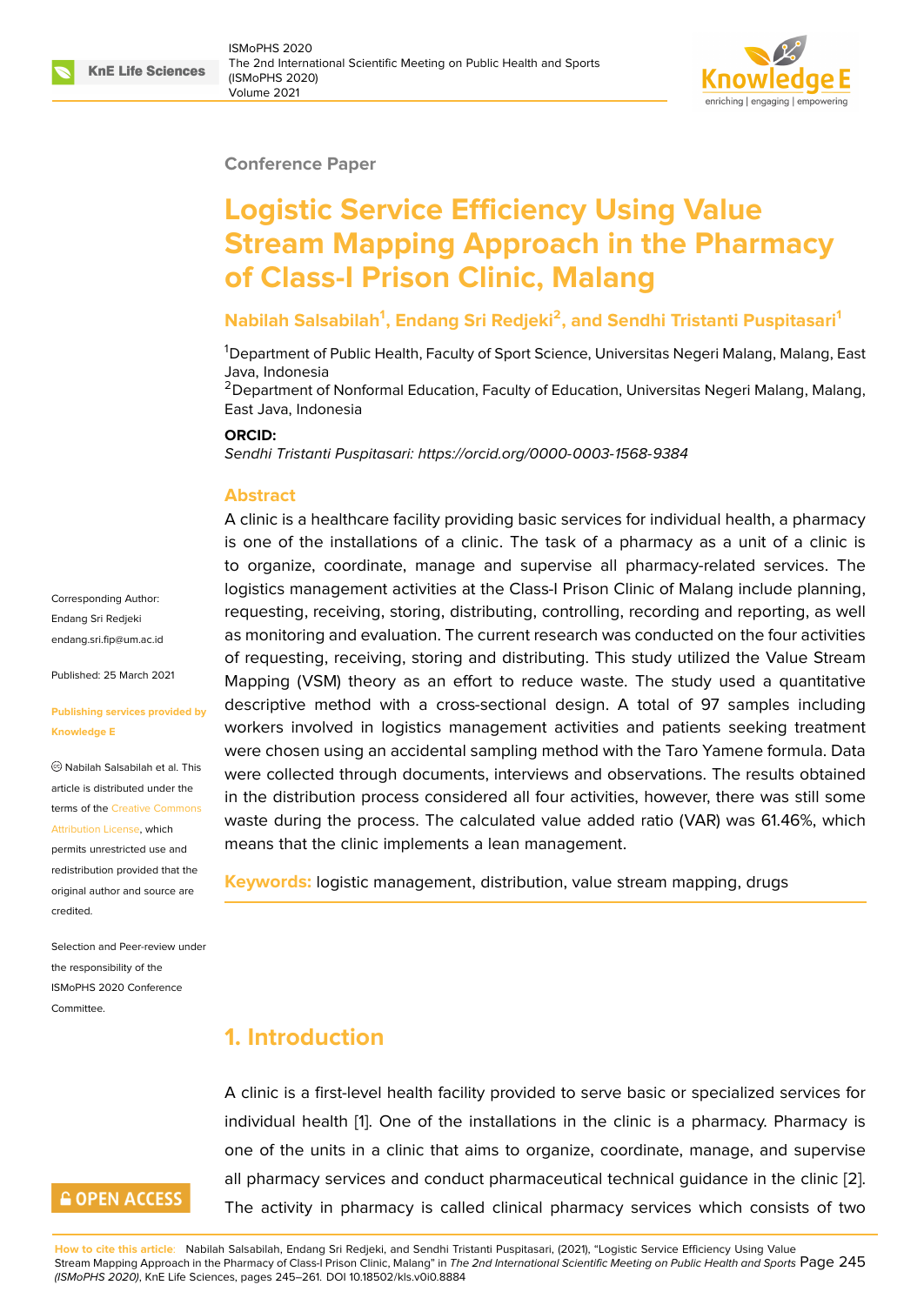#### **Conference Paper**

# **Logistic Service Efficiency Using Value Stream Mapping Approach in the Pharmacy of Class-I Prison Clinic, Malang**

## **Nabilah Salsabilah<sup>1</sup> , Endang Sri Redjeki<sup>2</sup> , and Sendhi Tristanti Puspitasari<sup>1</sup>**

<sup>1</sup>Department of Public Health, Faculty of Sport Science, Universitas Negeri Malang, Malang, East Java, Indonesia

<sup>2</sup> Department of Nonformal Education, Faculty of Education, Universitas Negeri Malang, Malang, East Java, Indonesia

#### **ORCID:**

*Sendhi Tristanti Puspitasari: https://orcid.org/0000-0003-1568-9384*

#### **Abstract**

A clinic is a healthcare facility providing basic services for individual health, a pharmacy is one of the installations [of a clinic. The task of a pharmacy](https://orcid.org/0000-0003-1568-9384) as a unit of a clinic is to organize, coordinate, manage and supervise all pharmacy-related services. The logistics management activities at the Class-I Prison Clinic of Malang include planning, requesting, receiving, storing, distributing, controlling, recording and reporting, as well as monitoring and evaluation. The current research was conducted on the four activities of requesting, receiving, storing and distributing. This study utilized the Value Stream Mapping (VSM) theory as an effort to reduce waste. The study used a quantitative descriptive method with a cross-sectional design. A total of 97 samples including workers involved in logistics management activities and patients seeking treatment were chosen using an accidental sampling method with the Taro Yamene formula. Data were collected through documents, interviews and observations. The results obtained in the distribution process considered all four activities, however, there was still some waste during the process. The calculated value added ratio (VAR) was 61.46%, which means that the clinic implements a lean management.

**Keywords:** logistic management, distribution, value stream mapping, drugs

## **1. Introduction**

A clinic is a first-level health facility provided to serve basic or specialized services for individual health [1]. One of the installations in the clinic is a pharmacy. Pharmacy is one of the units in a clinic that aims to organize, coordinate, manage, and supervise all pharmacy services and conduct pharmaceutical technical guidance in the clinic [2]. The activity in p[ha](#page-14-0)rmacy is called clinical pharmacy services which consists of two

Corresponding Author: Endang Sri Redjeki endang.sri.fip@um.ac.id

Published: 25 March 2021

#### **[Publishing services pro](mailto:endang.sri.fip@um.ac.id)vided by Knowledge E**

Nabilah Salsabilah et al. This article is distributed under the terms of the Creative Commons Attribution License, which

permits unrestricted use and redistribution provided that the original auth[or and source are](https://creativecommons.org/licenses/by/4.0/) [credited.](https://creativecommons.org/licenses/by/4.0/)

Selection and Peer-review under the responsibility of the ISMoPHS 2020 Conference Committee.



**How to cite this article**: Nabilah Salsabilah, Endang Sri Redjeki, and Sendhi Tristanti Puspitasari, (2021), "Logistic Service Efficiency Using Value Stream Mapping Approach in the Pharmacy of Class-I Prison Clinic, Malang" in *The 2nd International Scientific Meeting on Public Health and Sports* Page 2[45](#page-14-1) *(ISMoPHS 2020)*, KnE Life Sciences, pages 245–261. DOI 10.18502/kls.v0i0.8884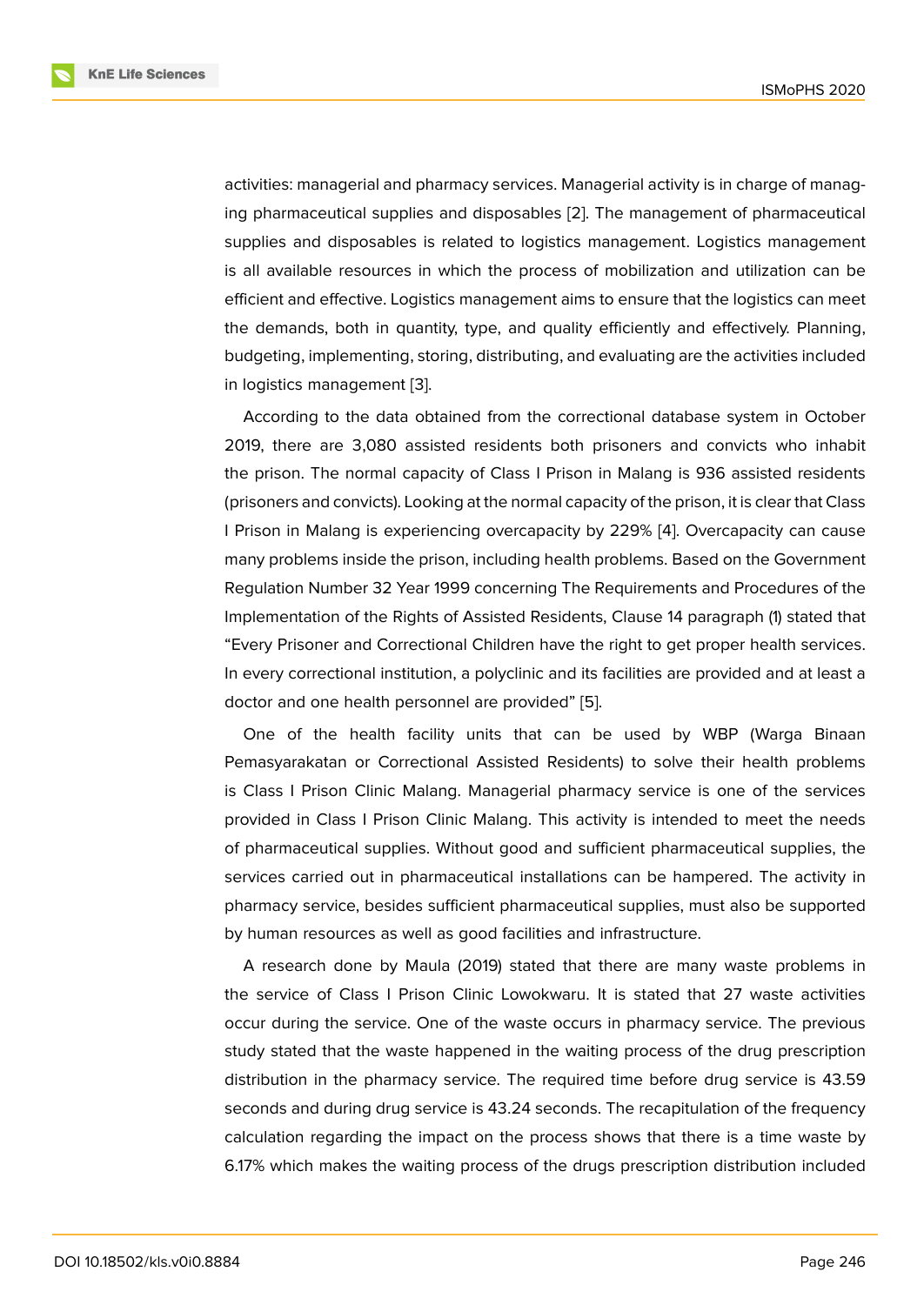activities: managerial and pharmacy services. Managerial activity is in charge of managing pharmaceutical supplies and disposables [2]. The management of pharmaceutical supplies and disposables is related to logistics management. Logistics management is all available resources in which the process of mobilization and utilization can be efficient and effective. Logistics management a[im](#page-14-1)s to ensure that the logistics can meet the demands, both in quantity, type, and quality efficiently and effectively. Planning, budgeting, implementing, storing, distributing, and evaluating are the activities included in logistics management [3].

According to the data obtained from the correctional database system in October 2019, there are 3,080 assisted residents both prisoners and convicts who inhabit the prison. The normal c[ap](#page-14-2)acity of Class I Prison in Malang is 936 assisted residents (prisoners and convicts). Looking at the normal capacity of the prison, it is clear that Class I Prison in Malang is experiencing overcapacity by 229% [4]. Overcapacity can cause many problems inside the prison, including health problems. Based on the Government Regulation Number 32 Year 1999 concerning The Requirements and Procedures of the Implementation of the Rights of Assisted Residents, Claus[e 1](#page-14-3)4 paragraph (1) stated that "Every Prisoner and Correctional Children have the right to get proper health services. In every correctional institution, a polyclinic and its facilities are provided and at least a doctor and one health personnel are provided" [5].

One of the health facility units that can be used by WBP (Warga Binaan Pemasyarakatan or Correctional Assisted Residents) to solve their health problems is Class I Prison Clinic Malang. Managerial ph[arm](#page-15-0)acy service is one of the services provided in Class I Prison Clinic Malang. This activity is intended to meet the needs of pharmaceutical supplies. Without good and sufficient pharmaceutical supplies, the services carried out in pharmaceutical installations can be hampered. The activity in pharmacy service, besides sufficient pharmaceutical supplies, must also be supported by human resources as well as good facilities and infrastructure.

A research done by Maula (2019) stated that there are many waste problems in the service of Class I Prison Clinic Lowokwaru. It is stated that 27 waste activities occur during the service. One of the waste occurs in pharmacy service. The previous study stated that the waste happened in the waiting process of the drug prescription distribution in the pharmacy service. The required time before drug service is 43.59 seconds and during drug service is 43.24 seconds. The recapitulation of the frequency calculation regarding the impact on the process shows that there is a time waste by 6.17% which makes the waiting process of the drugs prescription distribution included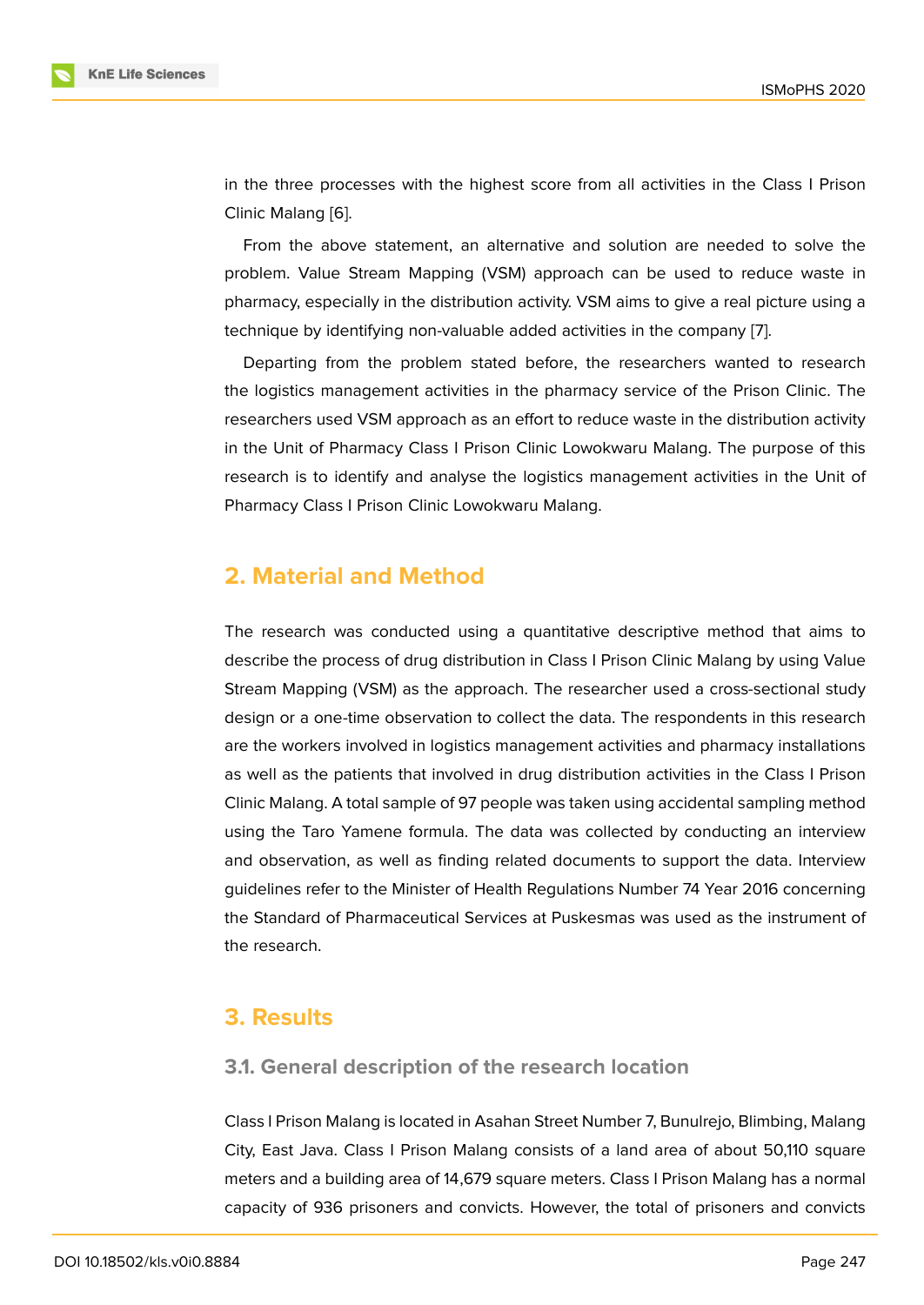in the three processes with the highest score from all activities in the Class I Prison Clinic Malang [6].

From the above statement, an alternative and solution are needed to solve the problem. Value Stream Mapping (VSM) approach can be used to reduce waste in pharmacy, esp[ec](#page-15-1)ially in the distribution activity. VSM aims to give a real picture using a technique by identifying non-valuable added activities in the company [7].

Departing from the problem stated before, the researchers wanted to research the logistics management activities in the pharmacy service of the Prison Clinic. The researchers used VSM approach as an effort to reduce waste in the dist[rib](#page-15-2)ution activity in the Unit of Pharmacy Class I Prison Clinic Lowokwaru Malang. The purpose of this research is to identify and analyse the logistics management activities in the Unit of Pharmacy Class I Prison Clinic Lowokwaru Malang.

## **2. Material and Method**

The research was conducted using a quantitative descriptive method that aims to describe the process of drug distribution in Class I Prison Clinic Malang by using Value Stream Mapping (VSM) as the approach. The researcher used a cross-sectional study design or a one-time observation to collect the data. The respondents in this research are the workers involved in logistics management activities and pharmacy installations as well as the patients that involved in drug distribution activities in the Class I Prison Clinic Malang. A total sample of 97 people was taken using accidental sampling method using the Taro Yamene formula. The data was collected by conducting an interview and observation, as well as finding related documents to support the data. Interview guidelines refer to the Minister of Health Regulations Number 74 Year 2016 concerning the Standard of Pharmaceutical Services at Puskesmas was used as the instrument of the research.

## **3. Results**

## **3.1. General description of the research location**

Class I Prison Malang is located in Asahan Street Number 7, Bunulrejo, Blimbing, Malang City, East Java. Class I Prison Malang consists of a land area of about 50,110 square meters and a building area of 14,679 square meters. Class I Prison Malang has a normal capacity of 936 prisoners and convicts. However, the total of prisoners and convicts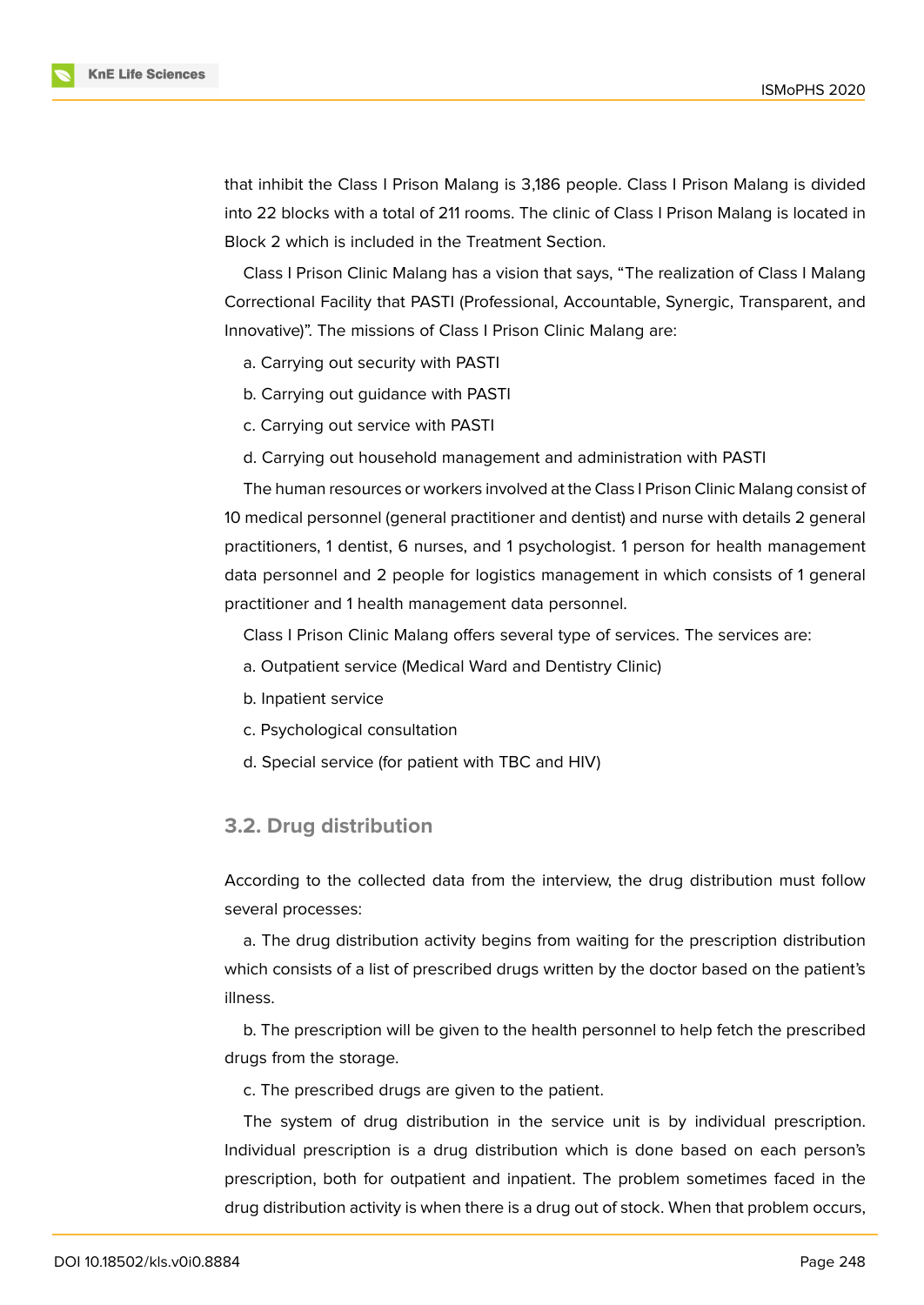

that inhibit the Class I Prison Malang is 3,186 people. Class I Prison Malang is divided into 22 blocks with a total of 211 rooms. The clinic of Class I Prison Malang is located in Block 2 which is included in the Treatment Section.

Class I Prison Clinic Malang has a vision that says, "The realization of Class I Malang Correctional Facility that PASTI (Professional, Accountable, Synergic, Transparent, and Innovative)". The missions of Class I Prison Clinic Malang are:

- a. Carrying out security with PASTI
- b. Carrying out guidance with PASTI
- c. Carrying out service with PASTI
- d. Carrying out household management and administration with PASTI

The human resources or workers involved at the Class I Prison Clinic Malang consist of 10 medical personnel (general practitioner and dentist) and nurse with details 2 general practitioners, 1 dentist, 6 nurses, and 1 psychologist. 1 person for health management data personnel and 2 people for logistics management in which consists of 1 general practitioner and 1 health management data personnel.

Class I Prison Clinic Malang offers several type of services. The services are:

- a. Outpatient service (Medical Ward and Dentistry Clinic)
- b. Inpatient service
- c. Psychological consultation
- d. Special service (for patient with TBC and HIV)

### **3.2. Drug distribution**

According to the collected data from the interview, the drug distribution must follow several processes:

a. The drug distribution activity begins from waiting for the prescription distribution which consists of a list of prescribed drugs written by the doctor based on the patient's illness.

b. The prescription will be given to the health personnel to help fetch the prescribed drugs from the storage.

c. The prescribed drugs are given to the patient.

The system of drug distribution in the service unit is by individual prescription. Individual prescription is a drug distribution which is done based on each person's prescription, both for outpatient and inpatient. The problem sometimes faced in the drug distribution activity is when there is a drug out of stock. When that problem occurs,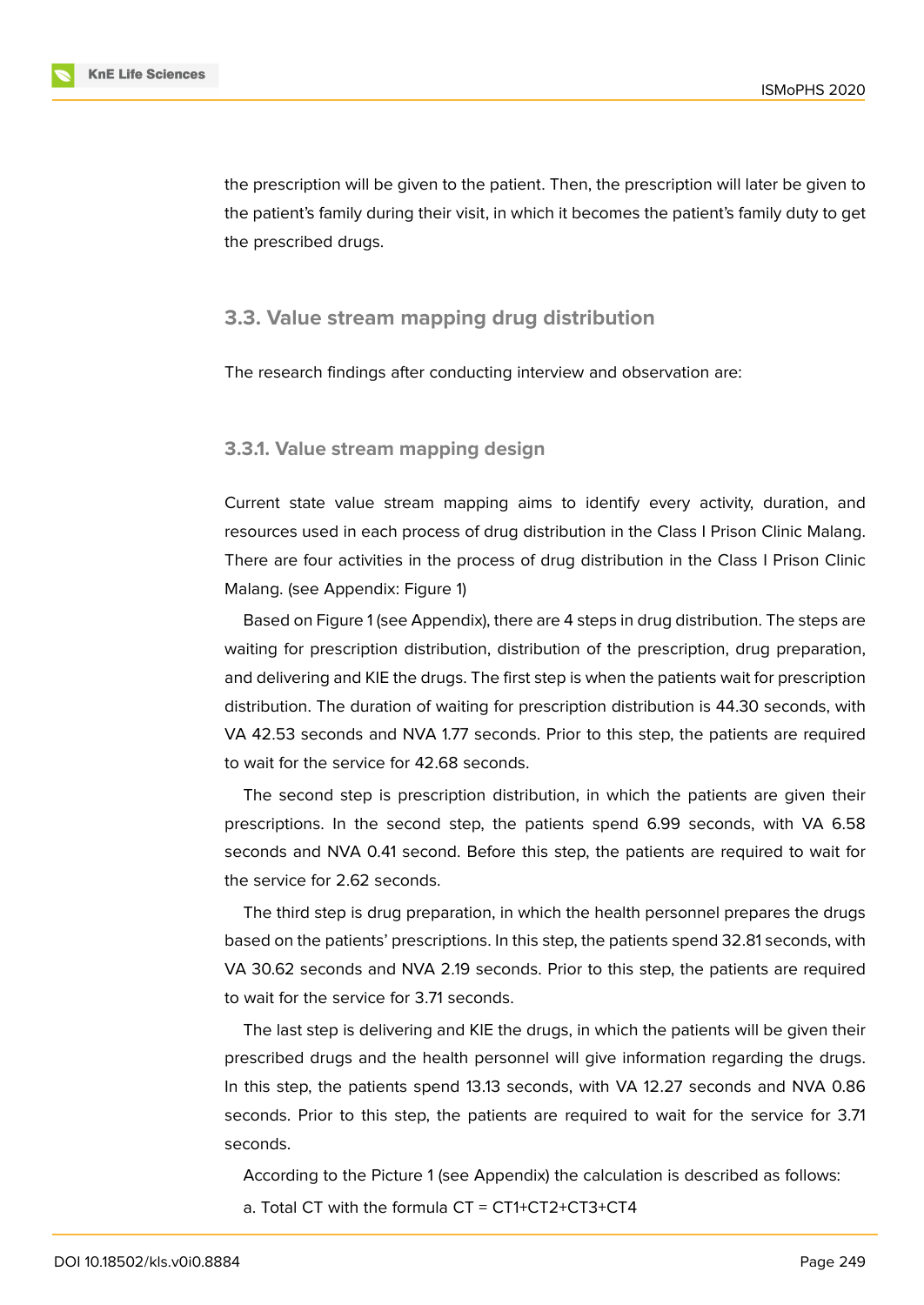the prescription will be given to the patient. Then, the prescription will later be given to the patient's family during their visit, in which it becomes the patient's family duty to get the prescribed drugs.

### **3.3. Value stream mapping drug distribution**

The research findings after conducting interview and observation are:

#### **3.3.1. Value stream mapping design**

Current state value stream mapping aims to identify every activity, duration, and resources used in each process of drug distribution in the Class I Prison Clinic Malang. There are four activities in the process of drug distribution in the Class I Prison Clinic Malang. (see Appendix: Figure 1)

Based on Figure 1 (see Appendix), there are 4 steps in drug distribution. The steps are waiting for prescription distribution, distribution of the prescription, drug preparation, and delivering and KIE the drug[s](#page-14-4). The first step is when the patients wait for prescription distribution. The d[ur](#page-14-4)ation of waiting for prescription distribution is 44.30 seconds, with VA 42.53 seconds and NVA 1.77 seconds. Prior to this step, the patients are required to wait for the service for 42.68 seconds.

The second step is prescription distribution, in which the patients are given their prescriptions. In the second step, the patients spend 6.99 seconds, with VA 6.58 seconds and NVA 0.41 second. Before this step, the patients are required to wait for the service for 2.62 seconds.

The third step is drug preparation, in which the health personnel prepares the drugs based on the patients' prescriptions. In this step, the patients spend 32.81 seconds, with VA 30.62 seconds and NVA 2.19 seconds. Prior to this step, the patients are required to wait for the service for 3.71 seconds.

The last step is delivering and KIE the drugs, in which the patients will be given their prescribed drugs and the health personnel will give information regarding the drugs. In this step, the patients spend 13.13 seconds, with VA 12.27 seconds and NVA 0.86 seconds. Prior to this step, the patients are required to wait for the service for 3.71 seconds.

According to the Picture 1 (see Appendix) the calculation is described as follows: a. Total CT with the formula CT = CT1+CT2+CT3+CT4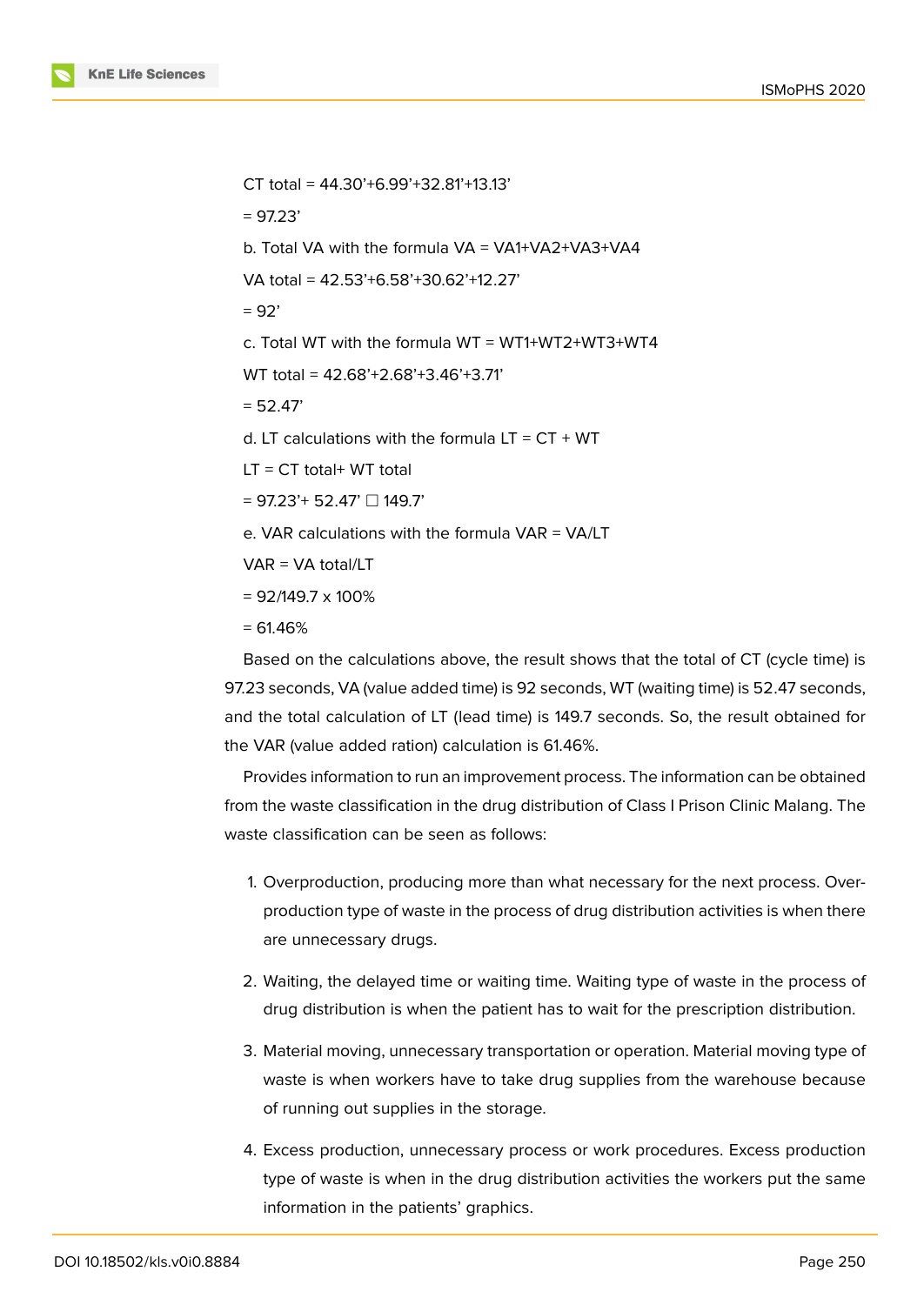

CT total = 44.30'+6.99'+32.81'+13.13'  $= 97.23'$ b. Total VA with the formula VA = VA1+VA2+VA3+VA4 VA total = 42.53'+6.58'+30.62'+12.27'  $= 92'$ c. Total WT with the formula  $WT = WT1+WT2+WT3+WT4$ WT total = 42.68'+2.68'+3.46'+3.71'  $= 52.47'$ d. LT calculations with the formula  $LT = CT + WT$  $LT = CT$  total+ WT total  $= 97.23' + 52.47'$   $\Box$  149.7' e. VAR calculations with the formula VAR = VA/LT VAR = VA total/LT  $= 92/149.7 \times 100\%$ 

 $= 61.46%$ 

Based on the calculations above, the result shows that the total of CT (cycle time) is 97.23 seconds, VA (value added time) is 92 seconds, WT (waiting time) is 52.47 seconds, and the total calculation of LT (lead time) is 149.7 seconds. So, the result obtained for the VAR (value added ration) calculation is 61.46%.

Provides information to run an improvement process. The information can be obtained from the waste classification in the drug distribution of Class I Prison Clinic Malang. The waste classification can be seen as follows:

- 1. Overproduction, producing more than what necessary for the next process. Overproduction type of waste in the process of drug distribution activities is when there are unnecessary drugs.
- 2. Waiting, the delayed time or waiting time. Waiting type of waste in the process of drug distribution is when the patient has to wait for the prescription distribution.
- 3. Material moving, unnecessary transportation or operation. Material moving type of waste is when workers have to take drug supplies from the warehouse because of running out supplies in the storage.
- 4. Excess production, unnecessary process or work procedures. Excess production type of waste is when in the drug distribution activities the workers put the same information in the patients' graphics.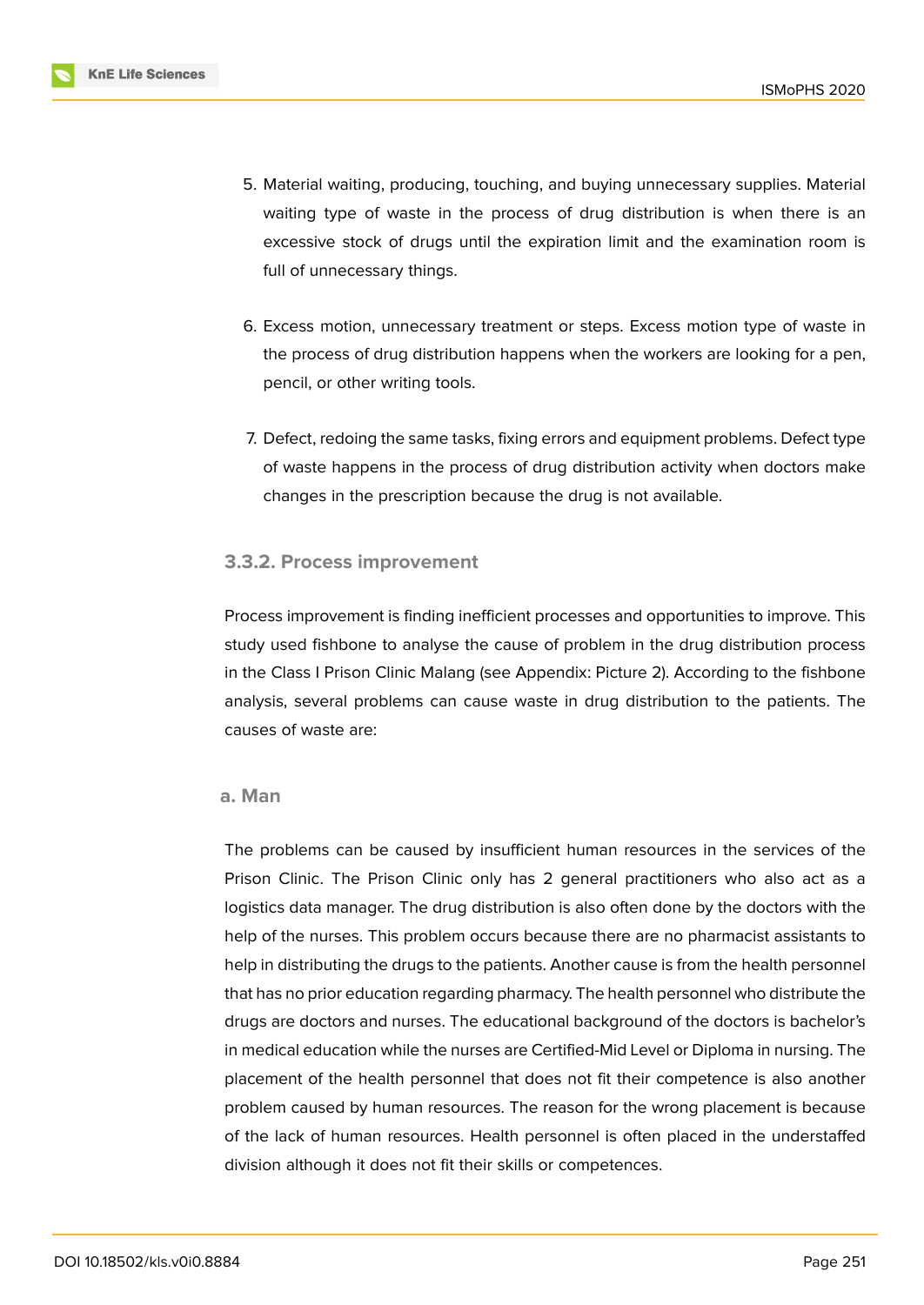

- 5. Material waiting, producing, touching, and buying unnecessary supplies. Material waiting type of waste in the process of drug distribution is when there is an excessive stock of drugs until the expiration limit and the examination room is full of unnecessary things.
- 6. Excess motion, unnecessary treatment or steps. Excess motion type of waste in the process of drug distribution happens when the workers are looking for a pen, pencil, or other writing tools.
- 7. Defect, redoing the same tasks, fixing errors and equipment problems. Defect type of waste happens in the process of drug distribution activity when doctors make changes in the prescription because the drug is not available.

### **3.3.2. Process improvement**

Process improvement is finding inefficient processes and opportunities to improve. This study used fishbone to analyse the cause of problem in the drug distribution process in the Class I Prison Clinic Malang (see Appendix: Picture 2). According to the fishbone analysis, several problems can cause waste in drug distribution to the patients. The causes of waste are:

#### **a. Man**

The problems can be caused by insufficient human resources in the services of the Prison Clinic. The Prison Clinic only has 2 general practitioners who also act as a logistics data manager. The drug distribution is also often done by the doctors with the help of the nurses. This problem occurs because there are no pharmacist assistants to help in distributing the drugs to the patients. Another cause is from the health personnel that has no prior education regarding pharmacy. The health personnel who distribute the drugs are doctors and nurses. The educational background of the doctors is bachelor's in medical education while the nurses are Certified-Mid Level or Diploma in nursing. The placement of the health personnel that does not fit their competence is also another problem caused by human resources. The reason for the wrong placement is because of the lack of human resources. Health personnel is often placed in the understaffed division although it does not fit their skills or competences.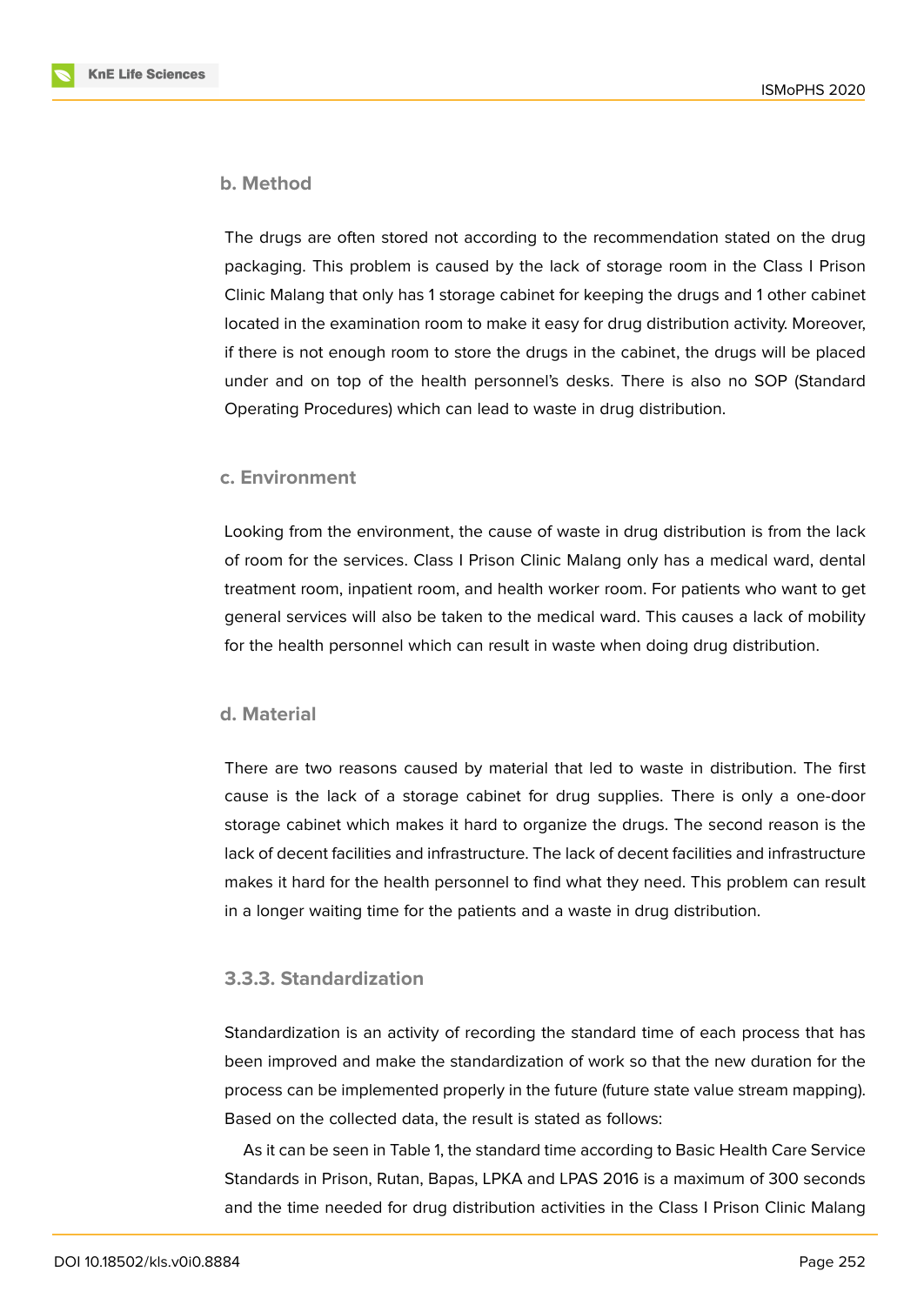

#### **b. Method**

The drugs are often stored not according to the recommendation stated on the drug packaging. This problem is caused by the lack of storage room in the Class I Prison Clinic Malang that only has 1 storage cabinet for keeping the drugs and 1 other cabinet located in the examination room to make it easy for drug distribution activity. Moreover, if there is not enough room to store the drugs in the cabinet, the drugs will be placed under and on top of the health personnel's desks. There is also no SOP (Standard Operating Procedures) which can lead to waste in drug distribution.

### **c. Environment**

Looking from the environment, the cause of waste in drug distribution is from the lack of room for the services. Class I Prison Clinic Malang only has a medical ward, dental treatment room, inpatient room, and health worker room. For patients who want to get general services will also be taken to the medical ward. This causes a lack of mobility for the health personnel which can result in waste when doing drug distribution.

### **d. Material**

There are two reasons caused by material that led to waste in distribution. The first cause is the lack of a storage cabinet for drug supplies. There is only a one-door storage cabinet which makes it hard to organize the drugs. The second reason is the lack of decent facilities and infrastructure. The lack of decent facilities and infrastructure makes it hard for the health personnel to find what they need. This problem can result in a longer waiting time for the patients and a waste in drug distribution.

### **3.3.3. Standardization**

Standardization is an activity of recording the standard time of each process that has been improved and make the standardization of work so that the new duration for the process can be implemented properly in the future (future state value stream mapping). Based on the collected data, the result is stated as follows:

As it can be seen in Table 1, the standard time according to Basic Health Care Service Standards in Prison, Rutan, Bapas, LPKA and LPAS 2016 is a maximum of 300 seconds and the time needed for drug distribution activities in the Class I Prison Clinic Malang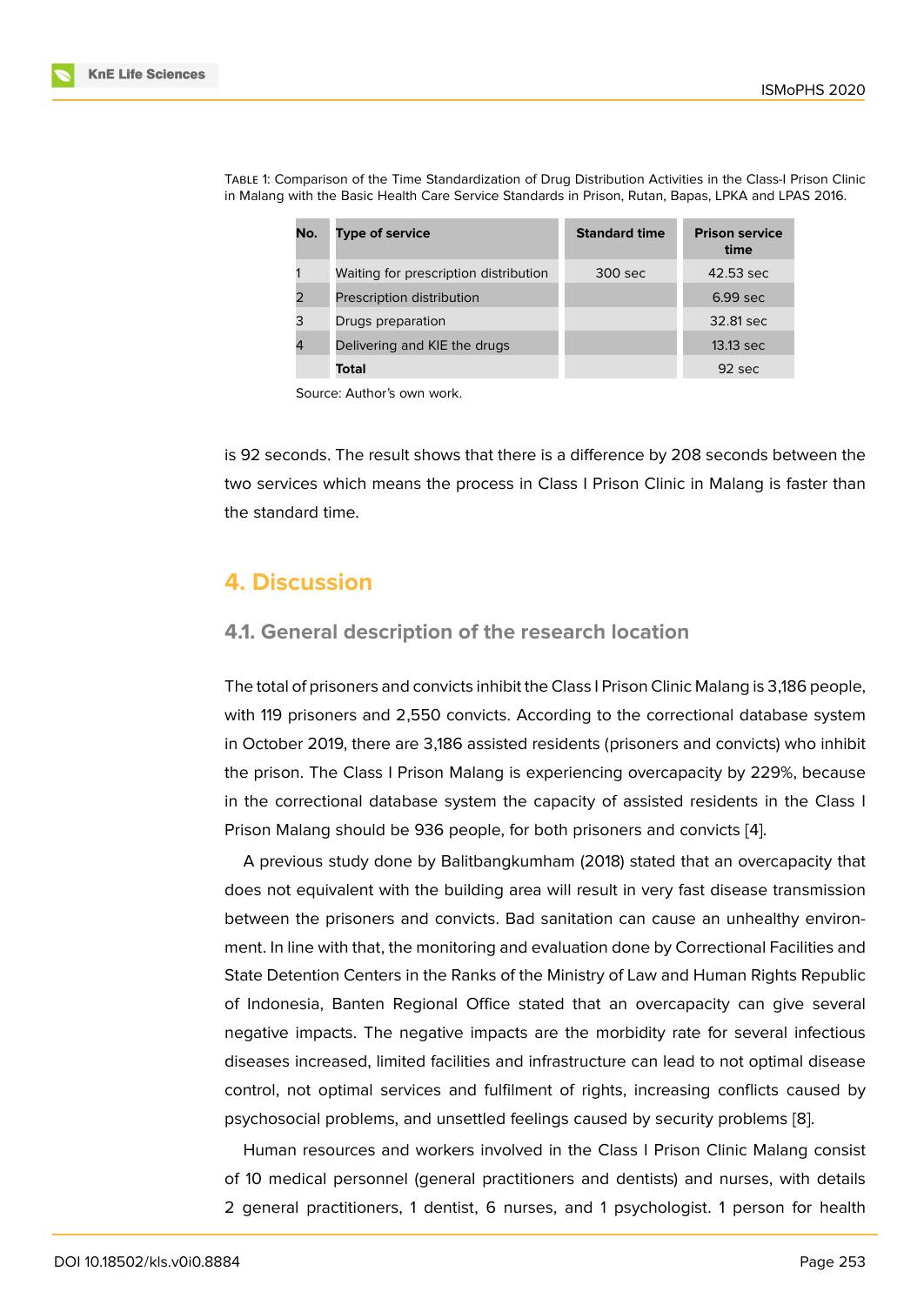| No. | <b>Type of service</b>                | <b>Standard time</b> | <b>Prison service</b><br>time |
|-----|---------------------------------------|----------------------|-------------------------------|
|     | Waiting for prescription distribution | 300 sec              | 42.53 sec                     |
|     | Prescription distribution             |                      | $6.99$ sec                    |
| 3   | Drugs preparation                     |                      | 32.81 sec                     |
|     | Delivering and KIE the drugs          |                      | 13.13 sec                     |
|     | Total                                 |                      | $92 \text{ sec}$              |

TABLE 1: Comparison of the Time Standardization of Drug Distribution Activities in the Class-I Prison Clinic in Malang with the Basic Health Care Service Standards in Prison, Rutan, Bapas, LPKA and LPAS 2016.

Source: Author's own work.

is 92 seconds. The result shows that there is a difference by 208 seconds between the two services which means the process in Class I Prison Clinic in Malang is faster than the standard time.

## **4. Discussion**

### **4.1. General description of the research location**

The total of prisoners and convicts inhibit the Class I Prison Clinic Malang is 3,186 people, with 119 prisoners and 2,550 convicts. According to the correctional database system in October 2019, there are 3,186 assisted residents (prisoners and convicts) who inhibit the prison. The Class I Prison Malang is experiencing overcapacity by 229%, because in the correctional database system the capacity of assisted residents in the Class I Prison Malang should be 936 people, for both prisoners and convicts [4].

A previous study done by Balitbangkumham (2018) stated that an overcapacity that does not equivalent with the building area will result in very fast disease transmission between the prisoners and convicts. Bad sanitation can cause an un[he](#page-14-3)althy environment. In line with that, the monitoring and evaluation done by Correctional Facilities and State Detention Centers in the Ranks of the Ministry of Law and Human Rights Republic of Indonesia, Banten Regional Office stated that an overcapacity can give several negative impacts. The negative impacts are the morbidity rate for several infectious diseases increased, limited facilities and infrastructure can lead to not optimal disease control, not optimal services and fulfilment of rights, increasing conflicts caused by psychosocial problems, and unsettled feelings caused by security problems [8].

Human resources and workers involved in the Class I Prison Clinic Malang consist of 10 medical personnel (general practitioners and dentists) and nurses, with details 2 general practitioners, 1 dentist, 6 nurses, and 1 psychologist. 1 person [fo](#page-15-3)r health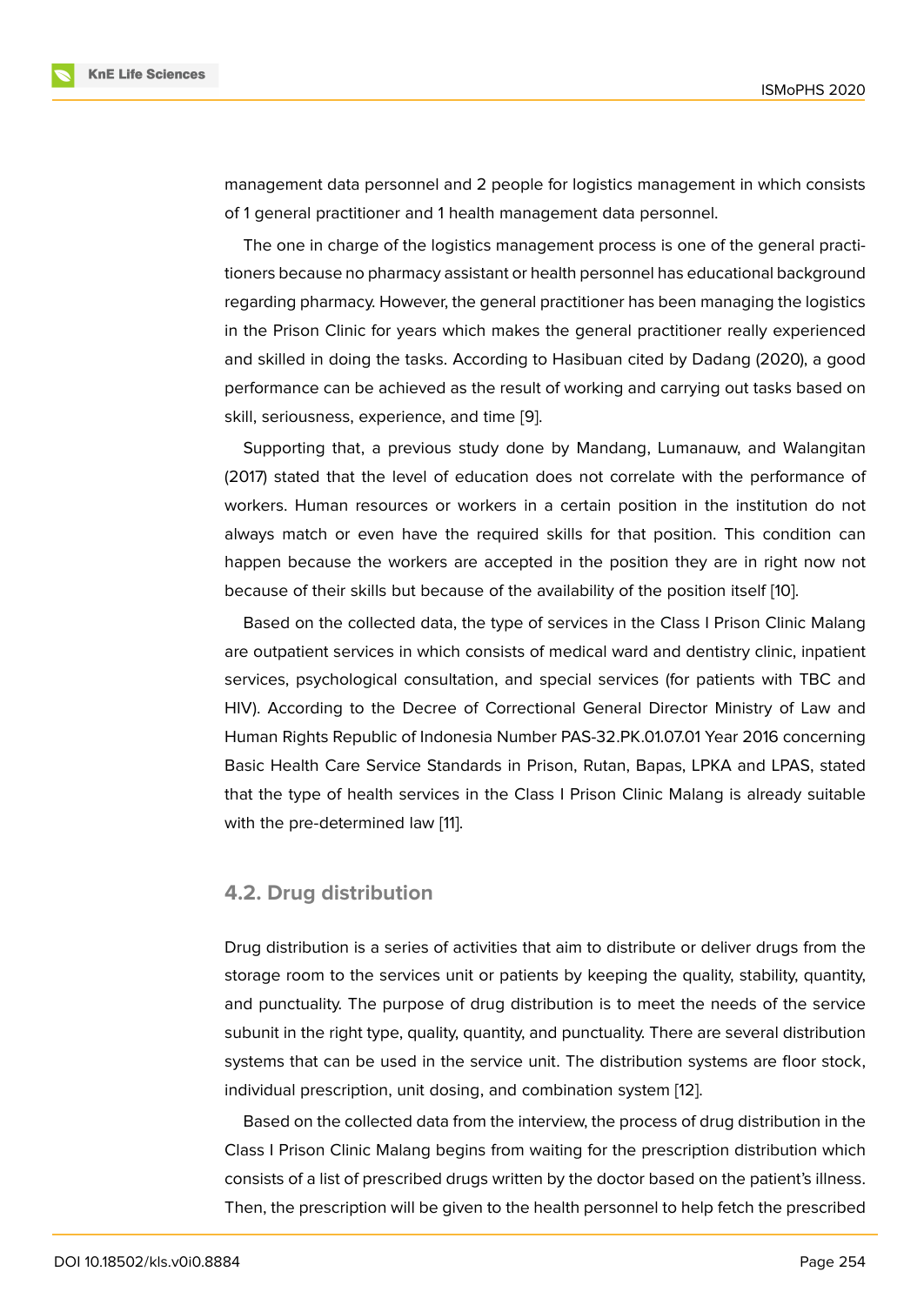management data personnel and 2 people for logistics management in which consists of 1 general practitioner and 1 health management data personnel.

The one in charge of the logistics management process is one of the general practitioners because no pharmacy assistant or health personnel has educational background regarding pharmacy. However, the general practitioner has been managing the logistics in the Prison Clinic for years which makes the general practitioner really experienced and skilled in doing the tasks. According to Hasibuan cited by Dadang (2020), a good performance can be achieved as the result of working and carrying out tasks based on skill, seriousness, experience, and time [9].

Supporting that, a previous study done by Mandang, Lumanauw, and Walangitan (2017) stated that the level of education does not correlate with the performance of workers. Human resources or workers [in](#page-15-4) a certain position in the institution do not always match or even have the required skills for that position. This condition can happen because the workers are accepted in the position they are in right now not because of their skills but because of the availability of the position itself [10].

Based on the collected data, the type of services in the Class I Prison Clinic Malang are outpatient services in which consists of medical ward and dentistry clinic, inpatient services, psychological consultation, and special services (for patients w[ith](#page-15-5) TBC and HIV). According to the Decree of Correctional General Director Ministry of Law and Human Rights Republic of Indonesia Number PAS-32.PK.01.07.01 Year 2016 concerning Basic Health Care Service Standards in Prison, Rutan, Bapas, LPKA and LPAS, stated that the type of health services in the Class I Prison Clinic Malang is already suitable with the pre-determined law [11].

### **4.2. Drug distribution**

Drug distribution is a series of activities that aim to distribute or deliver drugs from the storage room to the services unit or patients by keeping the quality, stability, quantity, and punctuality. The purpose of drug distribution is to meet the needs of the service subunit in the right type, quality, quantity, and punctuality. There are several distribution systems that can be used in the service unit. The distribution systems are floor stock, individual prescription, unit dosing, and combination system [12].

Based on the collected data from the interview, the process of drug distribution in the Class I Prison Clinic Malang begins from waiting for the prescription distribution which consists of a list of prescribed drugs written by the doctor bas[ed](#page-15-6) on the patient's illness. Then, the prescription will be given to the health personnel to help fetch the prescribed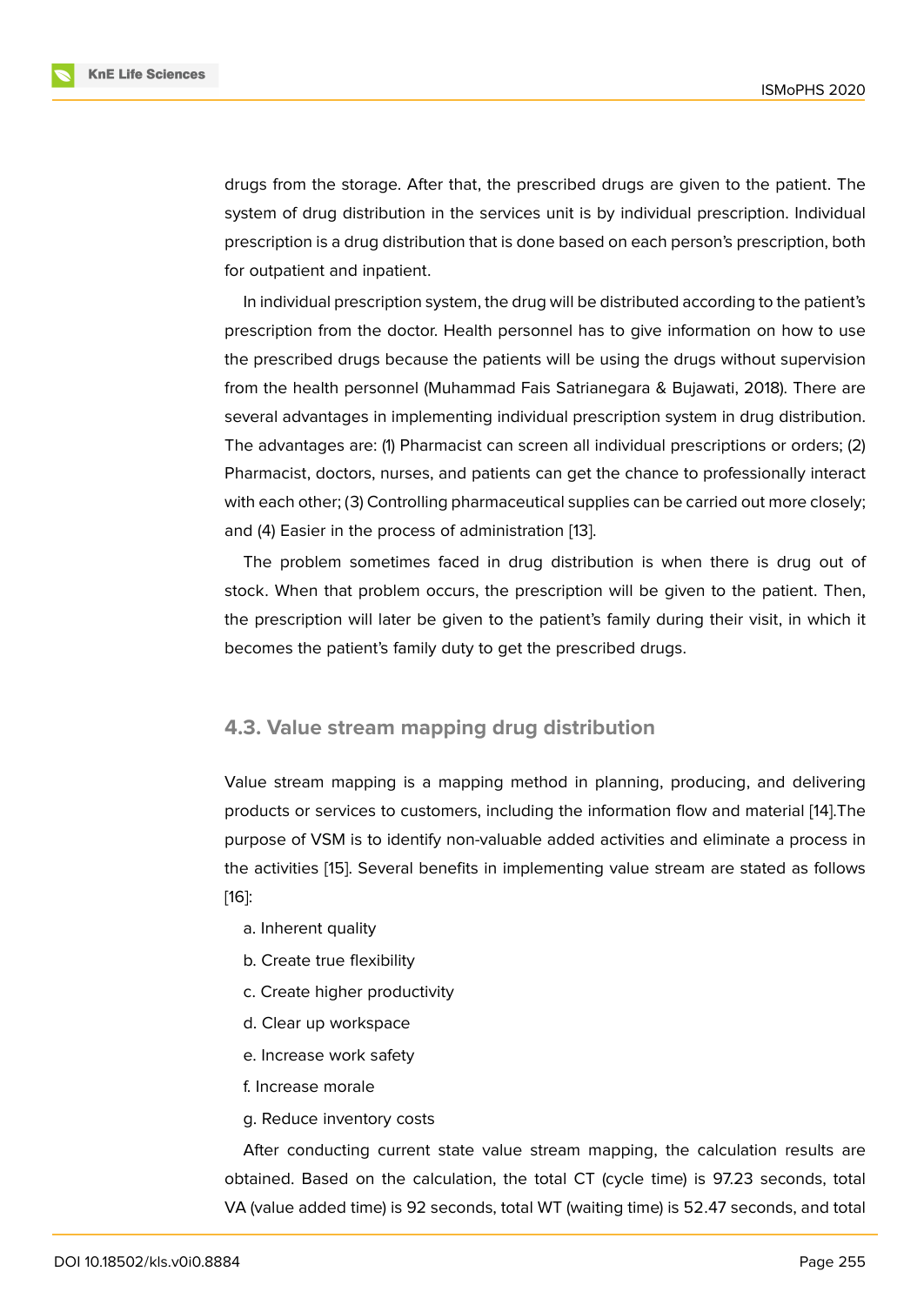drugs from the storage. After that, the prescribed drugs are given to the patient. The system of drug distribution in the services unit is by individual prescription. Individual prescription is a drug distribution that is done based on each person's prescription, both for outpatient and inpatient.

In individual prescription system, the drug will be distributed according to the patient's prescription from the doctor. Health personnel has to give information on how to use the prescribed drugs because the patients will be using the drugs without supervision from the health personnel (Muhammad Fais Satrianegara & Bujawati, 2018). There are several advantages in implementing individual prescription system in drug distribution. The advantages are: (1) Pharmacist can screen all individual prescriptions or orders; (2) Pharmacist, doctors, nurses, and patients can get the chance to professionally interact with each other; (3) Controlling pharmaceutical supplies can be carried out more closely; and (4) Easier in the process of administration [13].

The problem sometimes faced in drug distribution is when there is drug out of stock. When that problem occurs, the prescription will be given to the patient. Then, the prescription will later be given to the pati[ent](#page-15-7)'s family during their visit, in which it becomes the patient's family duty to get the prescribed drugs.

### **4.3. Value stream mapping drug distribution**

Value stream mapping is a mapping method in planning, producing, and delivering products or services to customers, including the information flow and material [14].The purpose of VSM is to identify non-valuable added activities and eliminate a process in the activities [15]. Several benefits in implementing value stream are stated as follows [16]:

- a. Inherent quality
- [b](#page-15-9). Create tr[ue](#page-15-8) flexibility
- c. Create higher productivity
- d. Clear up workspace
- e. Increase work safety
- f. Increase morale
- g. Reduce inventory costs

After conducting current state value stream mapping, the calculation results are obtained. Based on the calculation, the total CT (cycle time) is 97.23 seconds, total VA (value added time) is 92 seconds, total WT (waiting time) is 52.47 seconds, and total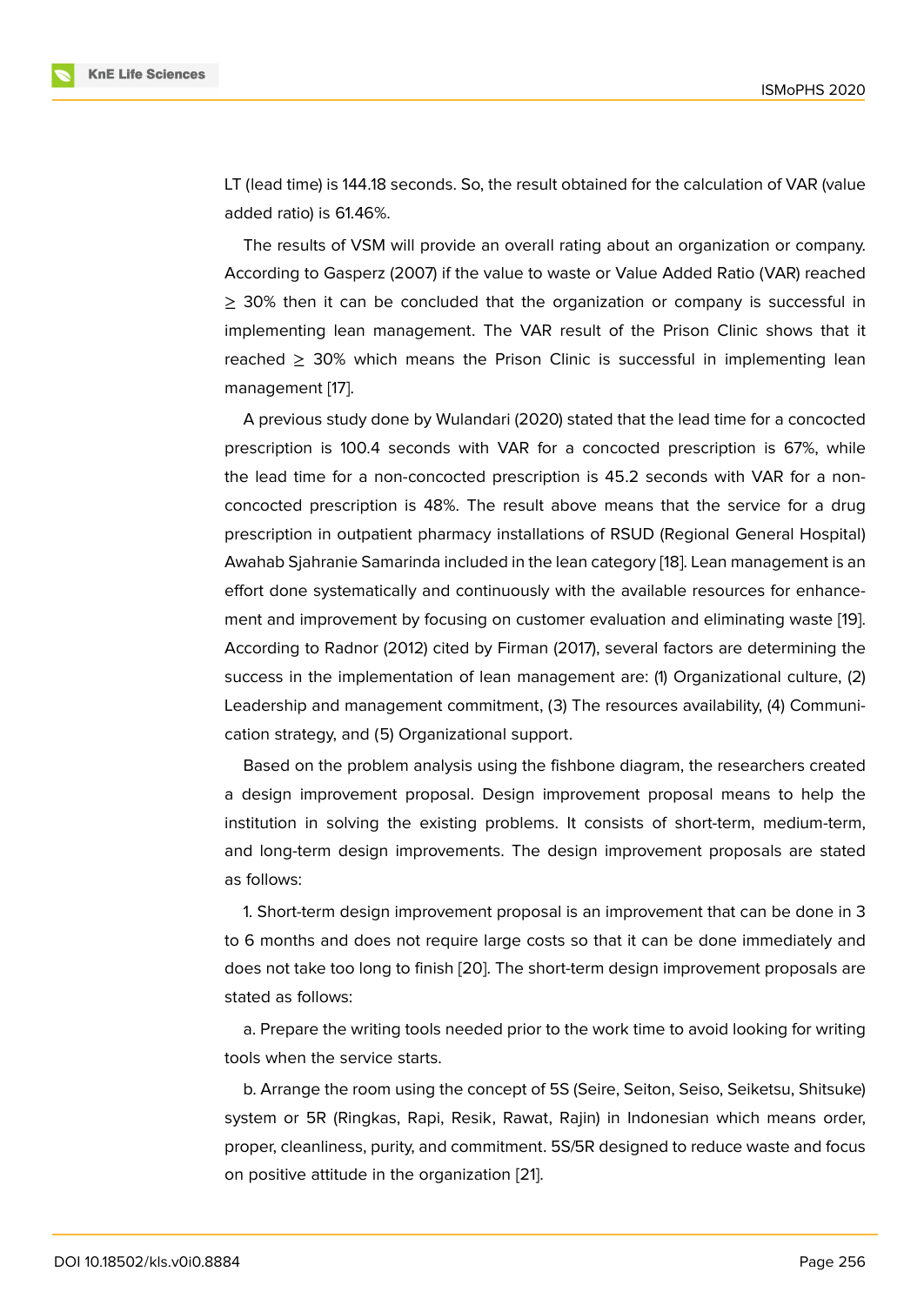LT (lead time) is 144.18 seconds. So, the result obtained for the calculation of VAR (value added ratio) is 61.46%.

The results of VSM will provide an overall rating about an organization or company. According to Gasperz (2007) if the value to waste or Value Added Ratio (VAR) reached ≥ 30% then it can be concluded that the organization or company is successful in implementing lean management. The VAR result of the Prison Clinic shows that it reached  $\geq$  30% which means the Prison Clinic is successful in implementing lean management [17].

A previous study done by Wulandari (2020) stated that the lead time for a concocted prescription is 100.4 seconds with VAR for a concocted prescription is 67%, while the lead time [fo](#page-15-10)r a non-concocted prescription is 45.2 seconds with VAR for a nonconcocted prescription is 48%. The result above means that the service for a drug prescription in outpatient pharmacy installations of RSUD (Regional General Hospital) Awahab Sjahranie Samarinda included in the lean category [18]. Lean management is an effort done systematically and continuously with the available resources for enhancement and improvement by focusing on customer evaluation and eliminating waste [19]. According to Radnor (2012) cited by Firman (2017), several [fac](#page-15-11)tors are determining the success in the implementation of lean management are: (1) Organizational culture, (2) Leadership and management commitment, (3) The resources availability, (4) Comm[uni](#page-16-0)cation strategy, and (5) Organizational support.

Based on the problem analysis using the fishbone diagram, the researchers created a design improvement proposal. Design improvement proposal means to help the institution in solving the existing problems. It consists of short-term, medium-term, and long-term design improvements. The design improvement proposals are stated as follows:

1. Short-term design improvement proposal is an improvement that can be done in 3 to 6 months and does not require large costs so that it can be done immediately and does not take too long to finish [20]. The short-term design improvement proposals are stated as follows:

a. Prepare the writing tools n[eed](#page-16-1)ed prior to the work time to avoid looking for writing tools when the service starts.

b. Arrange the room using the concept of 5S (Seire, Seiton, Seiso, Seiketsu, Shitsuke) system or 5R (Ringkas, Rapi, Resik, Rawat, Rajin) in Indonesian which means order, proper, cleanliness, purity, and commitment. 5S/5R designed to reduce waste and focus on positive attitude in the organization [21].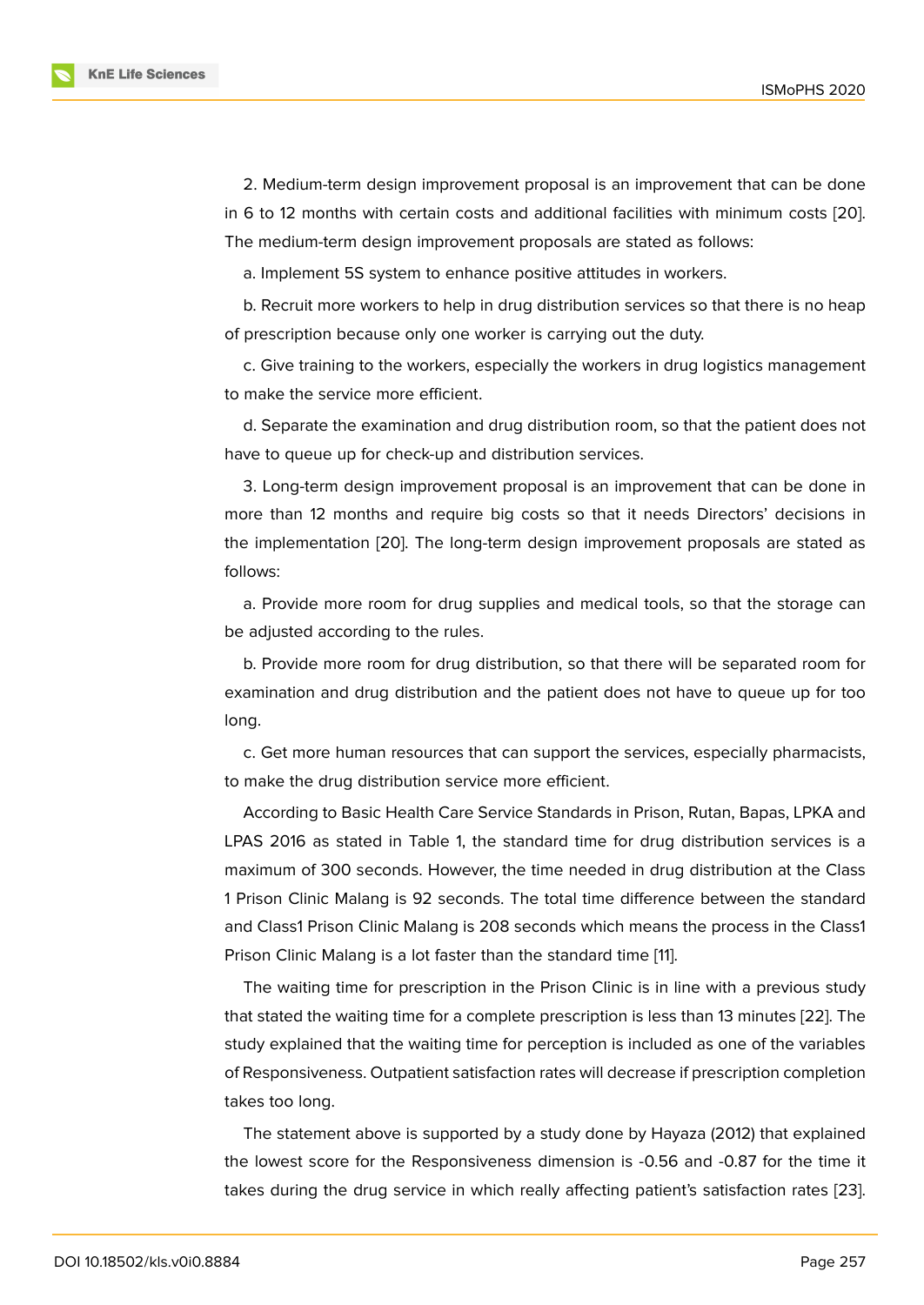2. Medium-term design improvement proposal is an improvement that can be done in 6 to 12 months with certain costs and additional facilities with minimum costs [20]. The medium-term design improvement proposals are stated as follows:

a. Implement 5S system to enhance positive attitudes in workers.

b. Recruit more workers to help in drug distribution services so that there is no [heap](#page-16-1) of prescription because only one worker is carrying out the duty.

c. Give training to the workers, especially the workers in drug logistics management to make the service more efficient.

d. Separate the examination and drug distribution room, so that the patient does not have to queue up for check-up and distribution services.

3. Long-term design improvement proposal is an improvement that can be done in more than 12 months and require big costs so that it needs Directors' decisions in the implementation [20]. The long-term design improvement proposals are stated as follows:

a. Provide more room for drug supplies and medical tools, so that the storage can be adjusted accordi[ng t](#page-16-1)o the rules.

b. Provide more room for drug distribution, so that there will be separated room for examination and drug distribution and the patient does not have to queue up for too long.

c. Get more human resources that can support the services, especially pharmacists, to make the drug distribution service more efficient.

According to Basic Health Care Service Standards in Prison, Rutan, Bapas, LPKA and LPAS 2016 as stated in Table 1, the standard time for drug distribution services is a maximum of 300 seconds. However, the time needed in drug distribution at the Class 1 Prison Clinic Malang is 92 seconds. The total time difference between the standard and Class1 Prison Clinic Malang is 208 seconds which means the process in the Class1 Prison Clinic Malang is a lot faster than the standard time [11].

The waiting time for prescription in the Prison Clinic is in line with a previous study that stated the waiting time for a complete prescription is less than 13 minutes [22]. The study explained that the waiting time for perception is incl[ud](#page-15-12)ed as one of the variables of Responsiveness. Outpatient satisfaction rates will decrease if prescription completion takes too long.

The statement above is supported by a study done by Hayaza (2012) that explained the lowest score for the Responsiveness dimension is -0.56 and -0.87 for the time it takes during the drug service in which really affecting patient's satisfaction rates [23].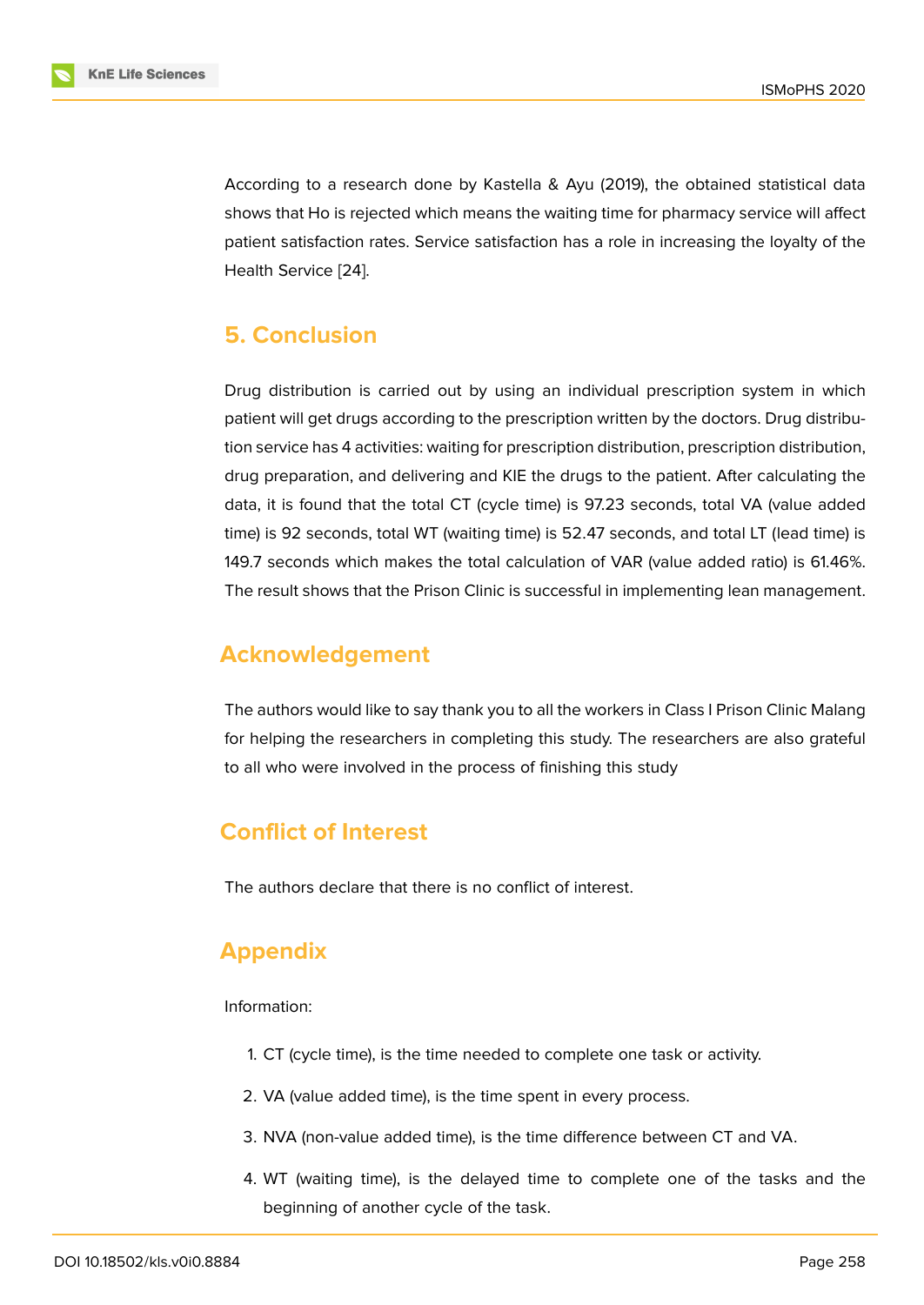According to a research done by Kastella & Ayu (2019), the obtained statistical data shows that Ho is rejected which means the waiting time for pharmacy service will affect patient satisfaction rates. Service satisfaction has a role in increasing the loyalty of the Health Service [24].

## **5. Conclus[io](#page-16-3)n**

Drug distribution is carried out by using an individual prescription system in which patient will get drugs according to the prescription written by the doctors. Drug distribution service has 4 activities: waiting for prescription distribution, prescription distribution, drug preparation, and delivering and KIE the drugs to the patient. After calculating the data, it is found that the total CT (cycle time) is 97.23 seconds, total VA (value added time) is 92 seconds, total WT (waiting time) is 52.47 seconds, and total LT (lead time) is 149.7 seconds which makes the total calculation of VAR (value added ratio) is 61.46%. The result shows that the Prison Clinic is successful in implementing lean management.

## **Acknowledgement**

The authors would like to say thank you to all the workers in Class I Prison Clinic Malang for helping the researchers in completing this study. The researchers are also grateful to all who were involved in the process of finishing this study

## **Conflict of Interest**

The authors declare that there is no conflict of interest.

## **Appendix**

Information:

- 1. CT (cycle time), is the time needed to complete one task or activity.
- 2. VA (value added time), is the time spent in every process.
- 3. NVA (non-value added time), is the time difference between CT and VA.
- 4. WT (waiting time), is the delayed time to complete one of the tasks and the beginning of another cycle of the task.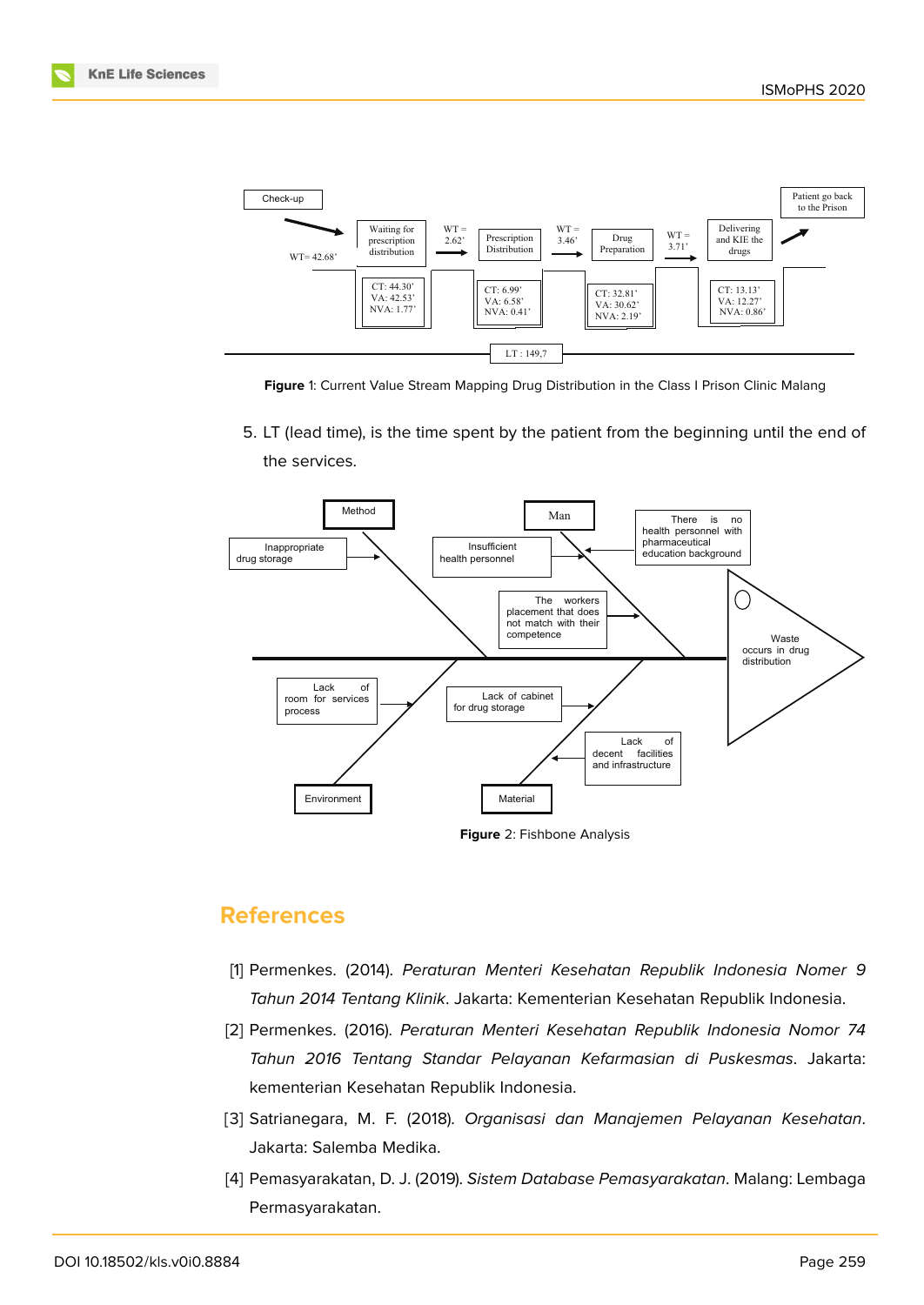

<span id="page-14-4"></span>**Figure** 1: Current Value Stream Mapping Drug Distribution in the Class I Prison Clinic Malang

5. LT (lead time), is the time spent by the patient from the beginning until the end of the services.



## **References**

- <span id="page-14-0"></span>[1] Permenkes. (2014). *Peraturan Menteri Kesehatan Republik Indonesia Nomer 9 Tahun 2014 Tentang Klinik*. Jakarta: Kementerian Kesehatan Republik Indonesia.
- <span id="page-14-1"></span>[2] Permenkes. (2016). *Peraturan Menteri Kesehatan Republik Indonesia Nomor 74 Tahun 2016 Tentang Standar Pelayanan Kefarmasian di Puskesmas*. Jakarta: kementerian Kesehatan Republik Indonesia.
- <span id="page-14-2"></span>[3] Satrianegara, M. F. (2018). *Organisasi dan Manajemen Pelayanan Kesehatan*. Jakarta: Salemba Medika.
- <span id="page-14-3"></span>[4] Pemasyarakatan, D. J. (2019). *Sistem Database Pemasyarakatan*. Malang: Lembaga Permasyarakatan.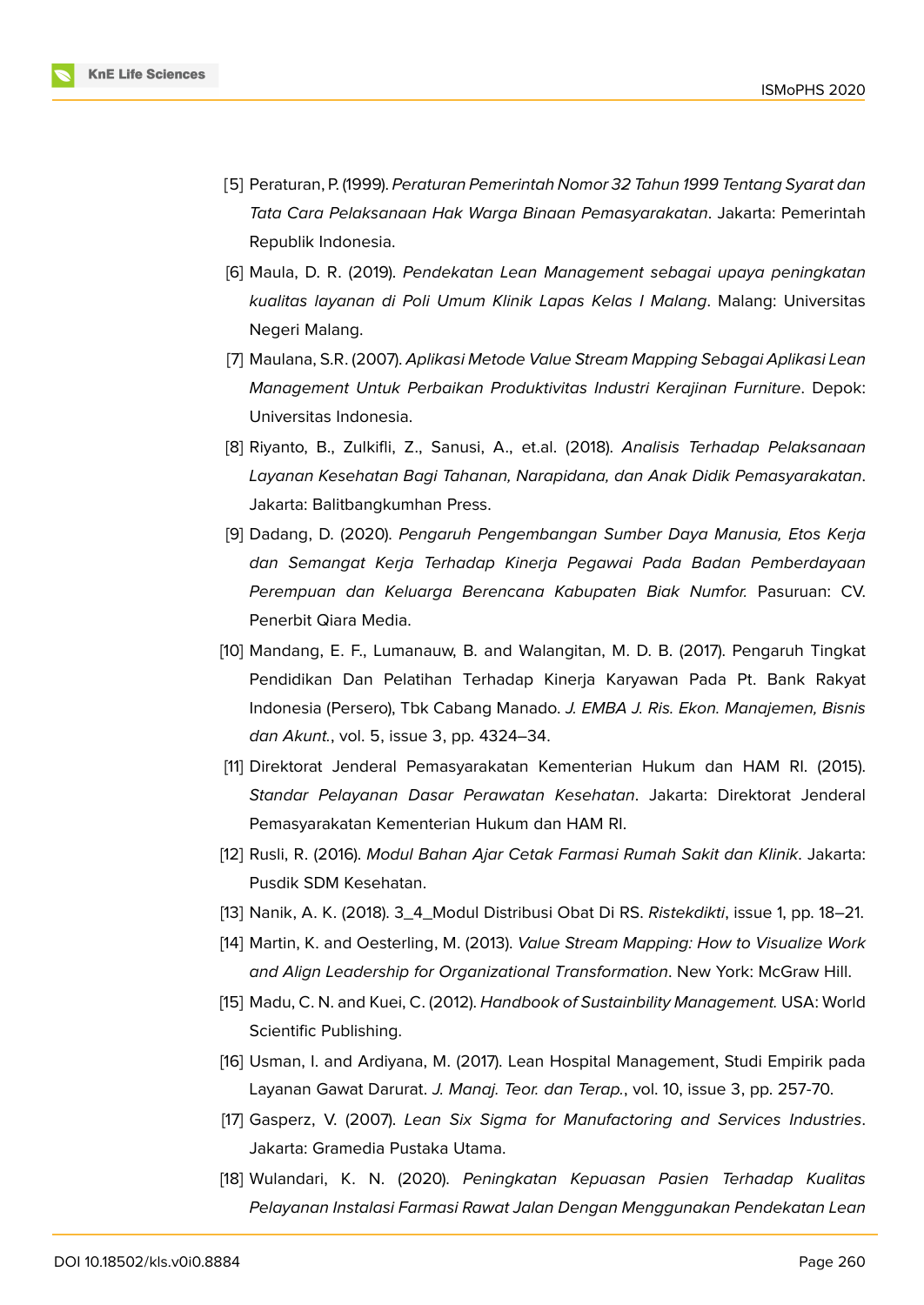

- <span id="page-15-0"></span>[5] Peraturan, P. (1999). *Peraturan Pemerintah Nomor 32 Tahun 1999 Tentang Syarat dan Tata Cara Pelaksanaan Hak Warga Binaan Pemasyarakatan*. Jakarta: Pemerintah Republik Indonesia.
- <span id="page-15-1"></span>[6] Maula, D. R. (2019). *Pendekatan Lean Management sebagai upaya peningkatan kualitas layanan di Poli Umum Klinik Lapas Kelas I Malang*. Malang: Universitas Negeri Malang.
- <span id="page-15-2"></span>[7] Maulana, S.R. (2007). *Aplikasi Metode Value Stream Mapping Sebagai Aplikasi Lean Management Untuk Perbaikan Produktivitas Industri Kerajinan Furniture*. Depok: Universitas Indonesia.
- <span id="page-15-3"></span>[8] Riyanto, B., Zulkifli, Z., Sanusi, A., et.al. (2018). *Analisis Terhadap Pelaksanaan Layanan Kesehatan Bagi Tahanan, Narapidana, dan Anak Didik Pemasyarakatan*. Jakarta: Balitbangkumhan Press.
- <span id="page-15-4"></span>[9] Dadang, D. (2020). *Pengaruh Pengembangan Sumber Daya Manusia, Etos Kerja dan Semangat Kerja Terhadap Kinerja Pegawai Pada Badan Pemberdayaan Perempuan dan Keluarga Berencana Kabupaten Biak Numfor.* Pasuruan: CV. Penerbit Qiara Media.
- <span id="page-15-5"></span>[10] Mandang, E. F., Lumanauw, B. and Walangitan, M. D. B. (2017). Pengaruh Tingkat Pendidikan Dan Pelatihan Terhadap Kinerja Karyawan Pada Pt. Bank Rakyat Indonesia (Persero), Tbk Cabang Manado. *J. EMBA J. Ris. Ekon. Manajemen, Bisnis dan Akunt.*, vol. 5, issue 3, pp. 4324–34.
- <span id="page-15-12"></span>[11] Direktorat Jenderal Pemasyarakatan Kementerian Hukum dan HAM RI. (2015). *Standar Pelayanan Dasar Perawatan Kesehatan*. Jakarta: Direktorat Jenderal Pemasyarakatan Kementerian Hukum dan HAM RI.
- <span id="page-15-6"></span>[12] Rusli, R. (2016). *Modul Bahan Ajar Cetak Farmasi Rumah Sakit dan Klinik*. Jakarta: Pusdik SDM Kesehatan.
- <span id="page-15-7"></span>[13] Nanik, A. K. (2018). 3\_4\_Modul Distribusi Obat Di RS. *Ristekdikti*, issue 1, pp. 18–21.
- [14] Martin, K. and Oesterling, M. (2013). *Value Stream Mapping: How to Visualize Work and Align Leadership for Organizational Transformation*. New York: McGraw Hill.
- <span id="page-15-8"></span>[15] Madu, C. N. and Kuei, C. (2012). *Handbook of Sustainbility Management.* USA: World Scientific Publishing.
- <span id="page-15-9"></span>[16] Usman, I. and Ardiyana, M. (2017). Lean Hospital Management, Studi Empirik pada Layanan Gawat Darurat. *J. Manaj. Teor. dan Terap.*, vol. 10, issue 3, pp. 257-70.
- <span id="page-15-10"></span>[17] Gasperz, V. (2007). *Lean Six Sigma for Manufactoring and Services Industries*. Jakarta: Gramedia Pustaka Utama.
- <span id="page-15-11"></span>[18] Wulandari, K. N. (2020). *Peningkatan Kepuasan Pasien Terhadap Kualitas Pelayanan Instalasi Farmasi Rawat Jalan Dengan Menggunakan Pendekatan Lean*